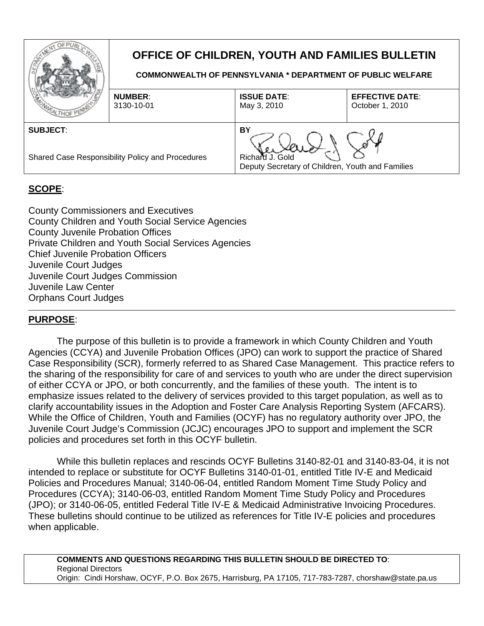

# **OFFICE OF CHILDREN, YOUTH AND FAMILIES BULLETIN**

**COMMONWEALTH OF PENNSYLVANIA \* DEPARTMENT OF PUBLIC WELFARE** 

| <b>MOMIEA</b>                                                       | <b>NUMBER:</b><br>3130-10-01 | <b>ISSUE DATE:</b><br>May 3, 2010                                         | <b>EFFECTIVE DATE:</b><br>October 1, 2010 |
|---------------------------------------------------------------------|------------------------------|---------------------------------------------------------------------------|-------------------------------------------|
| <b>SUBJECT:</b><br>Shared Case Responsibility Policy and Procedures |                              | BY<br>Richard J. Gold<br>Deputy Secretary of Children, Youth and Families |                                           |
|                                                                     |                              |                                                                           |                                           |

# **SCOPE**:

County Commissioners and Executives County Children and Youth Social Service Agencies County Juvenile Probation Offices Private Children and Youth Social Services Agencies Chief Juvenile Probation Officers Juvenile Court Judges Juvenile Court Judges Commission Juvenile Law Center Orphans Court Judges

## **PURPOSE**:

The purpose of this bulletin is to provide a framework in which County Children and Youth Agencies (CCYA) and Juvenile Probation Offices (JPO) can work to support the practice of Shared Case Responsibility (SCR), formerly referred to as Shared Case Management. This practice refers to the sharing of the responsibility for care of and services to youth who are under the direct supervision of either CCYA or JPO, or both concurrently, and the families of these youth. The intent is to emphasize issues related to the delivery of services provided to this target population, as well as to clarify accountability issues in the Adoption and Foster Care Analysis Reporting System (AFCARS). While the Office of Children, Youth and Families (OCYF) has no regulatory authority over JPO, the Juvenile Court Judge's Commission (JCJC) encourages JPO to support and implement the SCR policies and procedures set forth in this OCYF bulletin.

While this bulletin replaces and rescinds OCYF Bulletins 3140-82-01 and 3140-83-04, it is not intended to replace or substitute for OCYF Bulletins 3140-01-01, entitled Title IV-E and Medicaid Policies and Procedures Manual; 3140-06-04, entitled Random Moment Time Study Policy and Procedures (CCYA); 3140-06-03, entitled Random Moment Time Study Policy and Procedures (JPO); or 3140-06-05, entitled Federal Title IV-E & Medicaid Administrative Invoicing Procedures. These bulletins should continue to be utilized as references for Title IV-E policies and procedures when applicable.

**COMMENTS AND QUESTIONS REGARDING THIS BULLETIN SHOULD BE DIRECTED TO**: Regional Directors Origin: Cindi Horshaw, OCYF, P.O. Box 2675, Harrisburg, PA 17105, 717-783-7287, chorshaw@state.pa.us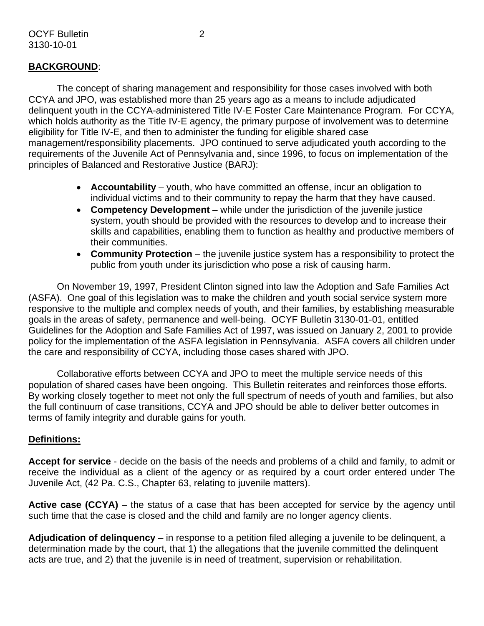## **BACKGROUND**:

The concept of sharing management and responsibility for those cases involved with both CCYA and JPO, was established more than 25 years ago as a means to include adjudicated delinquent youth in the CCYA-administered Title IV-E Foster Care Maintenance Program. For CCYA, which holds authority as the Title IV-E agency, the primary purpose of involvement was to determine eligibility for Title IV-E, and then to administer the funding for eligible shared case management/responsibility placements. JPO continued to serve adjudicated youth according to the requirements of the Juvenile Act of Pennsylvania and, since 1996, to focus on implementation of the principles of Balanced and Restorative Justice (BARJ):

- **Accountability** youth, who have committed an offense, incur an obligation to individual victims and to their community to repay the harm that they have caused.
- **Competency Development** while under the jurisdiction of the juvenile justice system, youth should be provided with the resources to develop and to increase their skills and capabilities, enabling them to function as healthy and productive members of their communities.
- **Community Protection** the juvenile justice system has a responsibility to protect the public from youth under its jurisdiction who pose a risk of causing harm.

On November 19, 1997, President Clinton signed into law the Adoption and Safe Families Act (ASFA). One goal of this legislation was to make the children and youth social service system more responsive to the multiple and complex needs of youth, and their families, by establishing measurable goals in the areas of safety, permanence and well-being. OCYF Bulletin 3130-01-01, entitled Guidelines for the Adoption and Safe Families Act of 1997, was issued on January 2, 2001 to provide policy for the implementation of the ASFA legislation in Pennsylvania. ASFA covers all children under the care and responsibility of CCYA, including those cases shared with JPO.

Collaborative efforts between CCYA and JPO to meet the multiple service needs of this population of shared cases have been ongoing. This Bulletin reiterates and reinforces those efforts. By working closely together to meet not only the full spectrum of needs of youth and families, but also the full continuum of case transitions, CCYA and JPO should be able to deliver better outcomes in terms of family integrity and durable gains for youth.

## **Definitions:**

**Accept for service** - decide on the basis of the needs and problems of a child and family, to admit or receive the individual as a client of the agency or as required by a court order entered under The Juvenile Act, (42 Pa. C.S., Chapter 63, relating to juvenile matters).

**Active case (CCYA)** – the status of a case that has been accepted for service by the agency until such time that the case is closed and the child and family are no longer agency clients.

**Adjudication of delinquency** – in response to a petition filed alleging a juvenile to be delinquent, a determination made by the court, that 1) the allegations that the juvenile committed the delinquent acts are true, and 2) that the juvenile is in need of treatment, supervision or rehabilitation.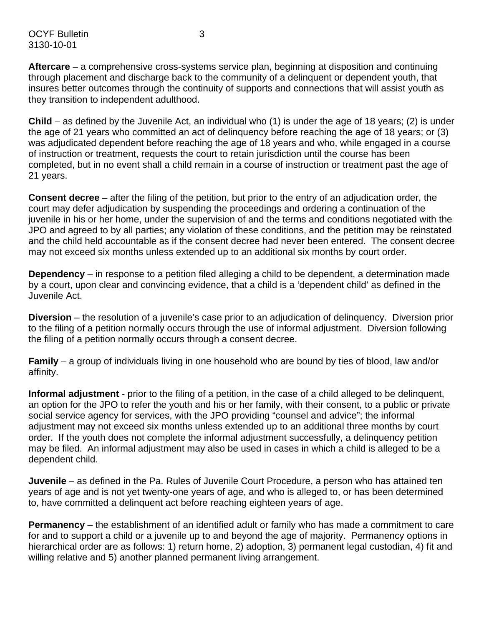OCYF Bulletin 3 3130-10-01

**Aftercare** – a comprehensive cross-systems service plan, beginning at disposition and continuing through placement and discharge back to the community of a delinquent or dependent youth, that insures better outcomes through the continuity of supports and connections that will assist youth as they transition to independent adulthood.

**Child** – as defined by the Juvenile Act, an individual who (1) is under the age of 18 years; (2) is under the age of 21 years who committed an act of delinquency before reaching the age of 18 years; or (3) was adjudicated dependent before reaching the age of 18 years and who, while engaged in a course of instruction or treatment, requests the court to retain jurisdiction until the course has been completed, but in no event shall a child remain in a course of instruction or treatment past the age of 21 years.

**Consent decree** – after the filing of the petition, but prior to the entry of an adjudication order, the court may defer adjudication by suspending the proceedings and ordering a continuation of the juvenile in his or her home, under the supervision of and the terms and conditions negotiated with the JPO and agreed to by all parties; any violation of these conditions, and the petition may be reinstated and the child held accountable as if the consent decree had never been entered. The consent decree may not exceed six months unless extended up to an additional six months by court order.

**Dependency** – in response to a petition filed alleging a child to be dependent, a determination made by a court, upon clear and convincing evidence, that a child is a 'dependent child' as defined in the Juvenile Act.

**Diversion** – the resolution of a juvenile's case prior to an adjudication of delinquency. Diversion prior to the filing of a petition normally occurs through the use of informal adjustment. Diversion following the filing of a petition normally occurs through a consent decree.

**Family** – a group of individuals living in one household who are bound by ties of blood, law and/or affinity.

**Informal adjustment** - prior to the filing of a petition, in the case of a child alleged to be delinquent, an option for the JPO to refer the youth and his or her family, with their consent, to a public or private social service agency for services, with the JPO providing "counsel and advice"; the informal adjustment may not exceed six months unless extended up to an additional three months by court order. If the youth does not complete the informal adjustment successfully, a delinquency petition may be filed. An informal adjustment may also be used in cases in which a child is alleged to be a dependent child.

**Juvenile** – as defined in the Pa. Rules of Juvenile Court Procedure, a person who has attained ten years of age and is not yet twenty-one years of age, and who is alleged to, or has been determined to, have committed a delinquent act before reaching eighteen years of age.

**Permanency** – the establishment of an identified adult or family who has made a commitment to care for and to support a child or a juvenile up to and beyond the age of majority. Permanency options in hierarchical order are as follows: 1) return home, 2) adoption, 3) permanent legal custodian, 4) fit and willing relative and 5) another planned permanent living arrangement.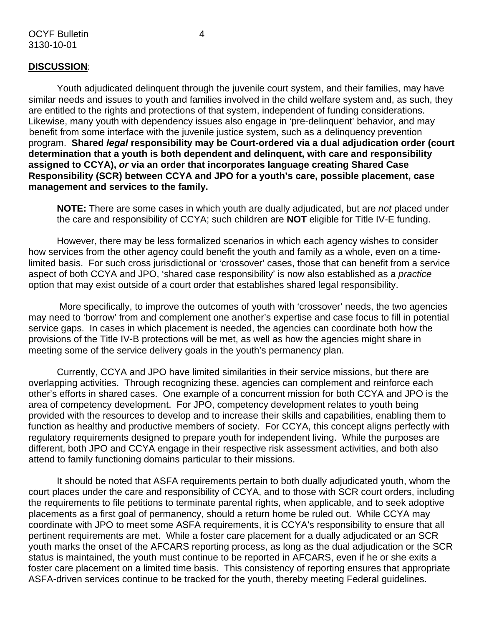Youth adjudicated delinquent through the juvenile court system, and their families, may have similar needs and issues to youth and families involved in the child welfare system and, as such, they are entitled to the rights and protections of that system, independent of funding considerations. Likewise, many youth with dependency issues also engage in 'pre-delinquent' behavior, and may benefit from some interface with the juvenile justice system, such as a delinquency prevention program. **Shared** *legal* **responsibility may be Court-ordered via a dual adjudication order (court determination that a youth is both dependent and delinquent, with care and responsibility assigned to CCYA),** *or* **via an order that incorporates language creating Shared Case Responsibility (SCR) between CCYA and JPO for a youth's care, possible placement, case management and services to the family.** 

**NOTE:** There are some cases in which youth are dually adjudicated, but are *not* placed under the care and responsibility of CCYA; such children are **NOT** eligible for Title IV-E funding.

However, there may be less formalized scenarios in which each agency wishes to consider how services from the other agency could benefit the youth and family as a whole, even on a timelimited basis. For such cross jurisdictional or 'crossover' cases, those that can benefit from a service aspect of both CCYA and JPO, 'shared case responsibility' is now also established as a *practice*  option that may exist outside of a court order that establishes shared legal responsibility.

 More specifically, to improve the outcomes of youth with 'crossover' needs, the two agencies may need to 'borrow' from and complement one another's expertise and case focus to fill in potential service gaps. In cases in which placement is needed, the agencies can coordinate both how the provisions of the Title IV-B protections will be met, as well as how the agencies might share in meeting some of the service delivery goals in the youth's permanency plan.

Currently, CCYA and JPO have limited similarities in their service missions, but there are overlapping activities. Through recognizing these, agencies can complement and reinforce each other's efforts in shared cases. One example of a concurrent mission for both CCYA and JPO is the area of competency development. For JPO, competency development relates to youth being provided with the resources to develop and to increase their skills and capabilities, enabling them to function as healthy and productive members of society. For CCYA, this concept aligns perfectly with regulatory requirements designed to prepare youth for independent living. While the purposes are different, both JPO and CCYA engage in their respective risk assessment activities, and both also attend to family functioning domains particular to their missions.

It should be noted that ASFA requirements pertain to both dually adjudicated youth, whom the court places under the care and responsibility of CCYA, and to those with SCR court orders, including the requirements to file petitions to terminate parental rights, when applicable, and to seek adoptive placements as a first goal of permanency, should a return home be ruled out. While CCYA may coordinate with JPO to meet some ASFA requirements, it is CCYA's responsibility to ensure that all pertinent requirements are met. While a foster care placement for a dually adjudicated or an SCR youth marks the onset of the AFCARS reporting process, as long as the dual adjudication or the SCR status is maintained, the youth must continue to be reported in AFCARS, even if he or she exits a foster care placement on a limited time basis. This consistency of reporting ensures that appropriate ASFA-driven services continue to be tracked for the youth, thereby meeting Federal guidelines.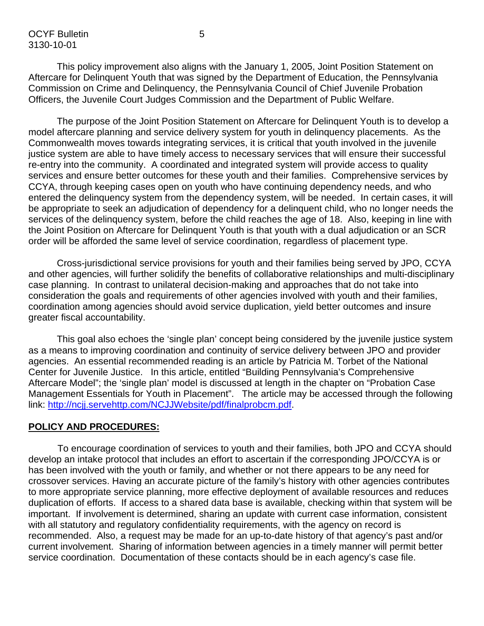OCYF Bulletin 5 3130-10-01

This policy improvement also aligns with the January 1, 2005, Joint Position Statement on Aftercare for Delinquent Youth that was signed by the Department of Education, the Pennsylvania Commission on Crime and Delinquency, the Pennsylvania Council of Chief Juvenile Probation Officers, the Juvenile Court Judges Commission and the Department of Public Welfare.

The purpose of the Joint Position Statement on Aftercare for Delinquent Youth is to develop a model aftercare planning and service delivery system for youth in delinquency placements. As the Commonwealth moves towards integrating services, it is critical that youth involved in the juvenile justice system are able to have timely access to necessary services that will ensure their successful re-entry into the community. A coordinated and integrated system will provide access to quality services and ensure better outcomes for these youth and their families. Comprehensive services by CCYA, through keeping cases open on youth who have continuing dependency needs, and who entered the delinquency system from the dependency system, will be needed. In certain cases, it will be appropriate to seek an adjudication of dependency for a delinquent child, who no longer needs the services of the delinquency system, before the child reaches the age of 18. Also, keeping in line with the Joint Position on Aftercare for Delinquent Youth is that youth with a dual adjudication or an SCR order will be afforded the same level of service coordination, regardless of placement type.

Cross-jurisdictional service provisions for youth and their families being served by JPO, CCYA and other agencies, will further solidify the benefits of collaborative relationships and multi-disciplinary case planning. In contrast to unilateral decision-making and approaches that do not take into consideration the goals and requirements of other agencies involved with youth and their families, coordination among agencies should avoid service duplication, yield better outcomes and insure greater fiscal accountability.

This goal also echoes the 'single plan' concept being considered by the juvenile justice system as a means to improving coordination and continuity of service delivery between JPO and provider agencies. An essential recommended reading is an article by Patricia M. Torbet of the National Center for Juvenile Justice. In this article, entitled "Building Pennsylvania's Comprehensive Aftercare Model"; the 'single plan' model is discussed at length in the chapter on "Probation Case Management Essentials for Youth in Placement". The article may be accessed through the following link: [http://ncjj.servehttp.com/NCJJWebsite/pdf/finalprobcm.pdf.](http://ncjj.servehttp.com/NCJJWebsite/pdf/finalprobcm.pdf)

#### **POLICY AND PROCEDURES:**

To encourage coordination of services to youth and their families, both JPO and CCYA should develop an intake protocol that includes an effort to ascertain if the corresponding JPO/CCYA is or has been involved with the youth or family, and whether or not there appears to be any need for crossover services. Having an accurate picture of the family's history with other agencies contributes to more appropriate service planning, more effective deployment of available resources and reduces duplication of efforts. If access to a shared data base is available, checking within that system will be important. If involvement is determined, sharing an update with current case information, consistent with all statutory and regulatory confidentiality requirements, with the agency on record is recommended. Also, a request may be made for an up-to-date history of that agency's past and/or current involvement. Sharing of information between agencies in a timely manner will permit better service coordination. Documentation of these contacts should be in each agency's case file.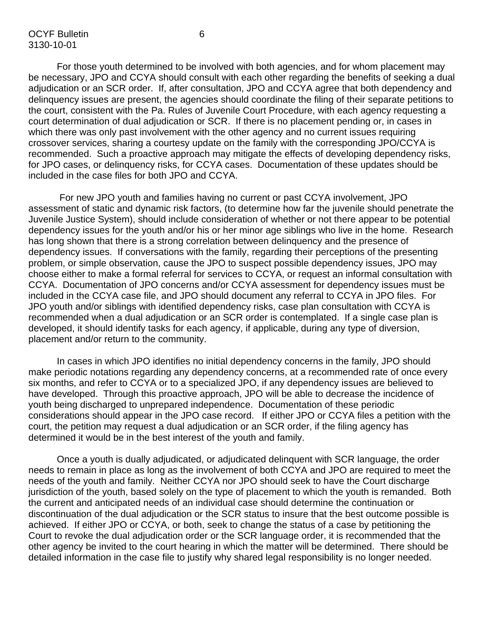For those youth determined to be involved with both agencies, and for whom placement may be necessary, JPO and CCYA should consult with each other regarding the benefits of seeking a dual adjudication or an SCR order. If, after consultation, JPO and CCYA agree that both dependency and delinquency issues are present, the agencies should coordinate the filing of their separate petitions to the court, consistent with the Pa. Rules of Juvenile Court Procedure, with each agency requesting a court determination of dual adjudication or SCR. If there is no placement pending or, in cases in which there was only past involvement with the other agency and no current issues requiring crossover services, sharing a courtesy update on the family with the corresponding JPO/CCYA is recommended. Such a proactive approach may mitigate the effects of developing dependency risks, for JPO cases, or delinquency risks, for CCYA cases. Documentation of these updates should be included in the case files for both JPO and CCYA.

 For new JPO youth and families having no current or past CCYA involvement, JPO assessment of static and dynamic risk factors, (to determine how far the juvenile should penetrate the Juvenile Justice System), should include consideration of whether or not there appear to be potential dependency issues for the youth and/or his or her minor age siblings who live in the home. Research has long shown that there is a strong correlation between delinquency and the presence of dependency issues. If conversations with the family, regarding their perceptions of the presenting problem, or simple observation, cause the JPO to suspect possible dependency issues, JPO may choose either to make a formal referral for services to CCYA, or request an informal consultation with CCYA. Documentation of JPO concerns and/or CCYA assessment for dependency issues must be included in the CCYA case file, and JPO should document any referral to CCYA in JPO files. For JPO youth and/or siblings with identified dependency risks, case plan consultation with CCYA is recommended when a dual adjudication or an SCR order is contemplated. If a single case plan is developed, it should identify tasks for each agency, if applicable, during any type of diversion, placement and/or return to the community.

In cases in which JPO identifies no initial dependency concerns in the family, JPO should make periodic notations regarding any dependency concerns, at a recommended rate of once every six months, and refer to CCYA or to a specialized JPO, if any dependency issues are believed to have developed. Through this proactive approach, JPO will be able to decrease the incidence of youth being discharged to unprepared independence. Documentation of these periodic considerations should appear in the JPO case record. If either JPO or CCYA files a petition with the court, the petition may request a dual adjudication or an SCR order, if the filing agency has determined it would be in the best interest of the youth and family.

Once a youth is dually adjudicated, or adjudicated delinquent with SCR language, the order needs to remain in place as long as the involvement of both CCYA and JPO are required to meet the needs of the youth and family. Neither CCYA nor JPO should seek to have the Court discharge jurisdiction of the youth, based solely on the type of placement to which the youth is remanded. Both the current and anticipated needs of an individual case should determine the continuation or discontinuation of the dual adjudication or the SCR status to insure that the best outcome possible is achieved. If either JPO or CCYA, or both, seek to change the status of a case by petitioning the Court to revoke the dual adjudication order or the SCR language order, it is recommended that the other agency be invited to the court hearing in which the matter will be determined. There should be detailed information in the case file to justify why shared legal responsibility is no longer needed.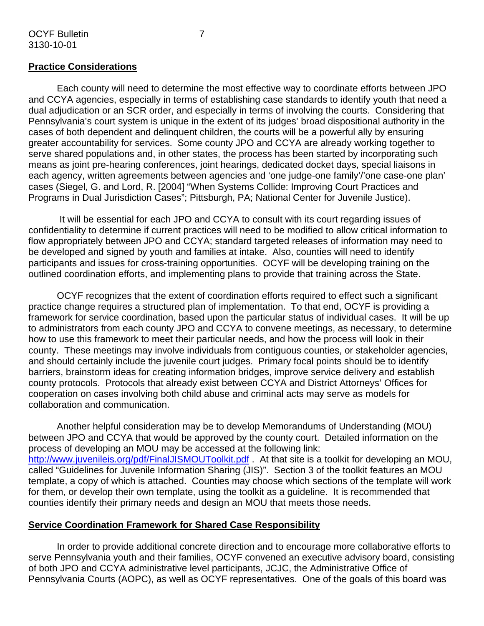Each county will need to determine the most effective way to coordinate efforts between JPO and CCYA agencies, especially in terms of establishing case standards to identify youth that need a dual adjudication or an SCR order, and especially in terms of involving the courts. Considering that Pennsylvania's court system is unique in the extent of its judges' broad dispositional authority in the cases of both dependent and delinquent children, the courts will be a powerful ally by ensuring greater accountability for services. Some county JPO and CCYA are already working together to serve shared populations and, in other states, the process has been started by incorporating such means as joint pre-hearing conferences, joint hearings, dedicated docket days, special liaisons in each agency, written agreements between agencies and 'one judge-one family'/'one case-one plan' cases (Siegel, G. and Lord, R. [2004] "When Systems Collide: Improving Court Practices and Programs in Dual Jurisdiction Cases"; Pittsburgh, PA; National Center for Juvenile Justice).

 It will be essential for each JPO and CCYA to consult with its court regarding issues of confidentiality to determine if current practices will need to be modified to allow critical information to flow appropriately between JPO and CCYA; standard targeted releases of information may need to be developed and signed by youth and families at intake. Also, counties will need to identify participants and issues for cross-training opportunities. OCYF will be developing training on the outlined coordination efforts, and implementing plans to provide that training across the State.

OCYF recognizes that the extent of coordination efforts required to effect such a significant practice change requires a structured plan of implementation. To that end, OCYF is providing a framework for service coordination, based upon the particular status of individual cases. It will be up to administrators from each county JPO and CCYA to convene meetings, as necessary, to determine how to use this framework to meet their particular needs, and how the process will look in their county. These meetings may involve individuals from contiguous counties, or stakeholder agencies, and should certainly include the juvenile court judges. Primary focal points should be to identify barriers, brainstorm ideas for creating information bridges, improve service delivery and establish county protocols. Protocols that already exist between CCYA and District Attorneys' Offices for cooperation on cases involving both child abuse and criminal acts may serve as models for collaboration and communication.

Another helpful consideration may be to develop Memorandums of Understanding (MOU) between JPO and CCYA that would be approved by the county court. Detailed information on the process of developing an MOU may be accessed at the following link: <http://www.juvenileis.org/pdf/FinalJISMOUToolkit.pdf>. At that site is a toolkit for developing an MOU, called "Guidelines for Juvenile Information Sharing (JIS)". Section 3 of the toolkit features an MOU template, a copy of which is attached. Counties may choose which sections of the template will work for them, or develop their own template, using the toolkit as a guideline. It is recommended that counties identify their primary needs and design an MOU that meets those needs.

#### **Service Coordination Framework for Shared Case Responsibility**

In order to provide additional concrete direction and to encourage more collaborative efforts to serve Pennsylvania youth and their families, OCYF convened an executive advisory board, consisting of both JPO and CCYA administrative level participants, JCJC, the Administrative Office of Pennsylvania Courts (AOPC), as well as OCYF representatives. One of the goals of this board was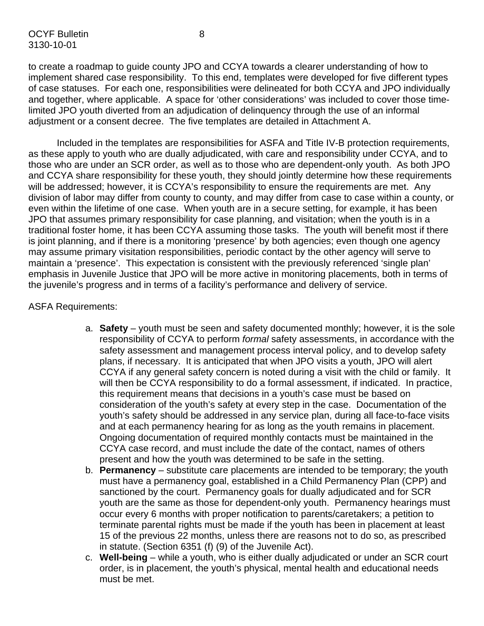to create a roadmap to guide county JPO and CCYA towards a clearer understanding of how to implement shared case responsibility. To this end, templates were developed for five different types of case statuses. For each one, responsibilities were delineated for both CCYA and JPO individually and together, where applicable. A space for 'other considerations' was included to cover those timelimited JPO youth diverted from an adjudication of delinquency through the use of an informal adjustment or a consent decree. The five templates are detailed in Attachment A.

Included in the templates are responsibilities for ASFA and Title IV-B protection requirements, as these apply to youth who are dually adjudicated, with care and responsibility under CCYA, and to those who are under an SCR order, as well as to those who are dependent-only youth. As both JPO and CCYA share responsibility for these youth, they should jointly determine how these requirements will be addressed; however, it is CCYA's responsibility to ensure the requirements are met. Any division of labor may differ from county to county, and may differ from case to case within a county, or even within the lifetime of one case. When youth are in a secure setting, for example, it has been JPO that assumes primary responsibility for case planning, and visitation; when the youth is in a traditional foster home, it has been CCYA assuming those tasks. The youth will benefit most if there is joint planning, and if there is a monitoring 'presence' by both agencies; even though one agency may assume primary visitation responsibilities, periodic contact by the other agency will serve to maintain a 'presence'. This expectation is consistent with the previously referenced 'single plan' emphasis in Juvenile Justice that JPO will be more active in monitoring placements, both in terms of the juvenile's progress and in terms of a facility's performance and delivery of service.

#### ASFA Requirements:

- a. **Safety** youth must be seen and safety documented monthly; however, it is the sole responsibility of CCYA to perform *formal* safety assessments, in accordance with the safety assessment and management process interval policy, and to develop safety plans, if necessary. It is anticipated that when JPO visits a youth, JPO will alert CCYA if any general safety concern is noted during a visit with the child or family. It will then be CCYA responsibility to do a formal assessment, if indicated. In practice, this requirement means that decisions in a youth's case must be based on consideration of the youth's safety at every step in the case. Documentation of the youth's safety should be addressed in any service plan, during all face-to-face visits and at each permanency hearing for as long as the youth remains in placement. Ongoing documentation of required monthly contacts must be maintained in the CCYA case record, and must include the date of the contact, names of others present and how the youth was determined to be safe in the setting.
- b. **Permanency** substitute care placements are intended to be temporary; the youth must have a permanency goal, established in a Child Permanency Plan (CPP) and sanctioned by the court. Permanency goals for dually adjudicated and for SCR youth are the same as those for dependent-only youth. Permanency hearings must occur every 6 months with proper notification to parents/caretakers; a petition to terminate parental rights must be made if the youth has been in placement at least 15 of the previous 22 months, unless there are reasons not to do so, as prescribed in statute. (Section 6351 (f) (9) of the Juvenile Act).
- c. **Well-being** while a youth, who is either dually adjudicated or under an SCR court order, is in placement, the youth's physical, mental health and educational needs must be met.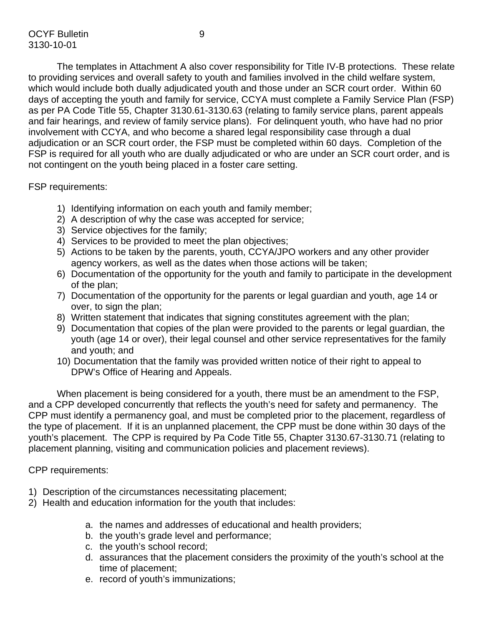The templates in Attachment A also cover responsibility for Title IV-B protections. These relate to providing services and overall safety to youth and families involved in the child welfare system, which would include both dually adjudicated youth and those under an SCR court order. Within 60 days of accepting the youth and family for service, CCYA must complete a Family Service Plan (FSP) as per PA Code Title 55, Chapter 3130.61-3130.63 (relating to family service plans, parent appeals and fair hearings, and review of family service plans). For delinquent youth, who have had no prior involvement with CCYA, and who become a shared legal responsibility case through a dual adjudication or an SCR court order, the FSP must be completed within 60 days. Completion of the FSP is required for all youth who are dually adjudicated or who are under an SCR court order, and is not contingent on the youth being placed in a foster care setting.

FSP requirements:

- 1) Identifying information on each youth and family member;
- 2) A description of why the case was accepted for service;
- 3) Service objectives for the family;
- 4) Services to be provided to meet the plan objectives;
- 5) Actions to be taken by the parents, youth, CCYA/JPO workers and any other provider agency workers, as well as the dates when those actions will be taken;
- 6) Documentation of the opportunity for the youth and family to participate in the development of the plan;
- 7) Documentation of the opportunity for the parents or legal guardian and youth, age 14 or over, to sign the plan;
- 8) Written statement that indicates that signing constitutes agreement with the plan;
- 9) Documentation that copies of the plan were provided to the parents or legal guardian, the youth (age 14 or over), their legal counsel and other service representatives for the family and youth; and
- 10) Documentation that the family was provided written notice of their right to appeal to DPW's Office of Hearing and Appeals.

When placement is being considered for a youth, there must be an amendment to the FSP, and a CPP developed concurrently that reflects the youth's need for safety and permanency. The CPP must identify a permanency goal, and must be completed prior to the placement, regardless of the type of placement. If it is an unplanned placement, the CPP must be done within 30 days of the youth's placement. The CPP is required by Pa Code Title 55, Chapter 3130.67-3130.71 (relating to placement planning, visiting and communication policies and placement reviews).

CPP requirements:

- 1) Description of the circumstances necessitating placement;
- 2) Health and education information for the youth that includes:
	- a. the names and addresses of educational and health providers;
	- b. the youth's grade level and performance;
	- c. the youth's school record;
	- d. assurances that the placement considers the proximity of the youth's school at the time of placement;
	- e. record of youth's immunizations;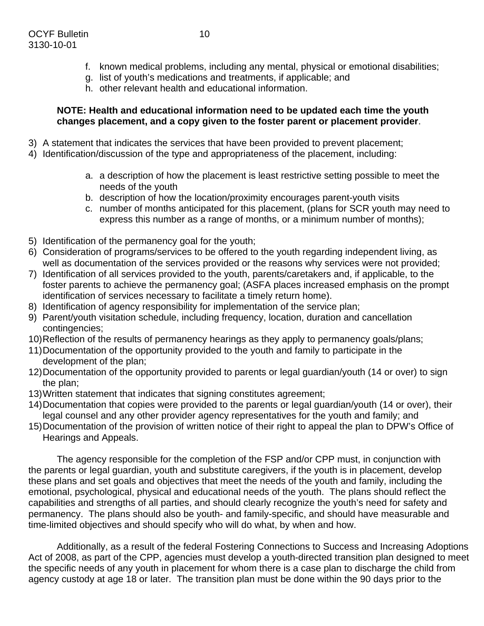- f. known medical problems, including any mental, physical or emotional disabilities;
- g. list of youth's medications and treatments, if applicable; and
- h. other relevant health and educational information.

#### **NOTE: Health and educational information need to be updated each time the youth changes placement, and a copy given to the foster parent or placement provider**.

- 3) A statement that indicates the services that have been provided to prevent placement;
- 4) Identification/discussion of the type and appropriateness of the placement, including:
	- a. a description of how the placement is least restrictive setting possible to meet the needs of the youth
	- b. description of how the location/proximity encourages parent-youth visits
	- c. number of months anticipated for this placement, (plans for SCR youth may need to express this number as a range of months, or a minimum number of months);
- 5) Identification of the permanency goal for the youth;
- 6) Consideration of programs/services to be offered to the youth regarding independent living, as well as documentation of the services provided or the reasons why services were not provided;
- 7) Identification of all services provided to the youth, parents/caretakers and, if applicable, to the foster parents to achieve the permanency goal; (ASFA places increased emphasis on the prompt identification of services necessary to facilitate a timely return home).
- 8) Identification of agency responsibility for implementation of the service plan;
- 9) Parent/youth visitation schedule, including frequency, location, duration and cancellation contingencies;
- 10) Reflection of the results of permanency hearings as they apply to permanency goals/plans;
- 11) Documentation of the opportunity provided to the youth and family to participate in the development of the plan;
- 12) Documentation of the opportunity provided to parents or legal guardian/youth (14 or over) to sign the plan;
- 13) Written statement that indicates that signing constitutes agreement;
- 14) Documentation that copies were provided to the parents or legal guardian/youth (14 or over), their legal counsel and any other provider agency representatives for the youth and family; and
- 15) Documentation of the provision of written notice of their right to appeal the plan to DPW's Office of Hearings and Appeals.

The agency responsible for the completion of the FSP and/or CPP must, in conjunction with the parents or legal guardian, youth and substitute caregivers, if the youth is in placement, develop these plans and set goals and objectives that meet the needs of the youth and family, including the emotional, psychological, physical and educational needs of the youth. The plans should reflect the capabilities and strengths of all parties, and should clearly recognize the youth's need for safety and permanency. The plans should also be youth- and family-specific, and should have measurable and time-limited objectives and should specify who will do what, by when and how.

Additionally, as a result of the federal Fostering Connections to Success and Increasing Adoptions Act of 2008, as part of the CPP, agencies must develop a youth-directed transition plan designed to meet the specific needs of any youth in placement for whom there is a case plan to discharge the child from agency custody at age 18 or later. The transition plan must be done within the 90 days prior to the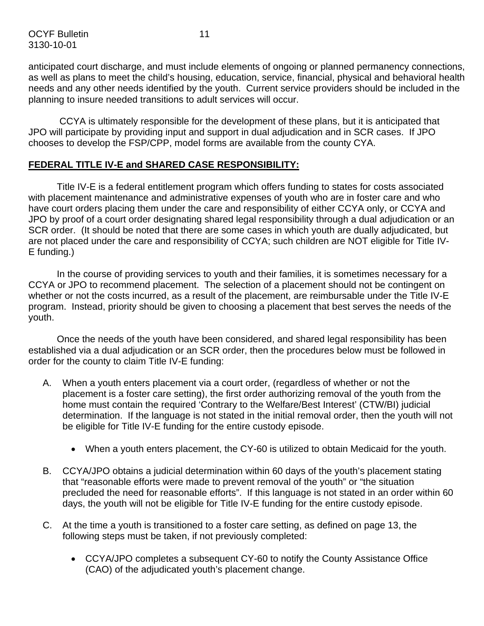OCYF Bulletin 11 3130-10-01

anticipated court discharge, and must include elements of ongoing or planned permanency connections, as well as plans to meet the child's housing, education, service, financial, physical and behavioral health needs and any other needs identified by the youth. Current service providers should be included in the planning to insure needed transitions to adult services will occur.

 CCYA is ultimately responsible for the development of these plans, but it is anticipated that JPO will participate by providing input and support in dual adjudication and in SCR cases. If JPO chooses to develop the FSP/CPP, model forms are available from the county CYA.

## **FEDERAL TITLE IV-E and SHARED CASE RESPONSIBILITY:**

Title IV-E is a federal entitlement program which offers funding to states for costs associated with placement maintenance and administrative expenses of youth who are in foster care and who have court orders placing them under the care and responsibility of either CCYA only, or CCYA and JPO by proof of a court order designating shared legal responsibility through a dual adjudication or an SCR order. (It should be noted that there are some cases in which youth are dually adjudicated, but are not placed under the care and responsibility of CCYA; such children are NOT eligible for Title IV-E funding.)

In the course of providing services to youth and their families, it is sometimes necessary for a CCYA or JPO to recommend placement. The selection of a placement should not be contingent on whether or not the costs incurred, as a result of the placement, are reimbursable under the Title IV-E program. Instead, priority should be given to choosing a placement that best serves the needs of the youth.

Once the needs of the youth have been considered, and shared legal responsibility has been established via a dual adjudication or an SCR order, then the procedures below must be followed in order for the county to claim Title IV-E funding:

- A. When a youth enters placement via a court order, (regardless of whether or not the placement is a foster care setting), the first order authorizing removal of the youth from the home must contain the required 'Contrary to the Welfare/Best Interest' (CTW/BI) judicial determination. If the language is not stated in the initial removal order, then the youth will not be eligible for Title IV-E funding for the entire custody episode.
	- When a youth enters placement, the CY-60 is utilized to obtain Medicaid for the youth.
- B. CCYA/JPO obtains a judicial determination within 60 days of the youth's placement stating that "reasonable efforts were made to prevent removal of the youth" or "the situation precluded the need for reasonable efforts". If this language is not stated in an order within 60 days, the youth will not be eligible for Title IV-E funding for the entire custody episode.
- C. At the time a youth is transitioned to a foster care setting, as defined on page 13, the following steps must be taken, if not previously completed:
	- CCYA/JPO completes a subsequent CY-60 to notify the County Assistance Office (CAO) of the adjudicated youth's placement change.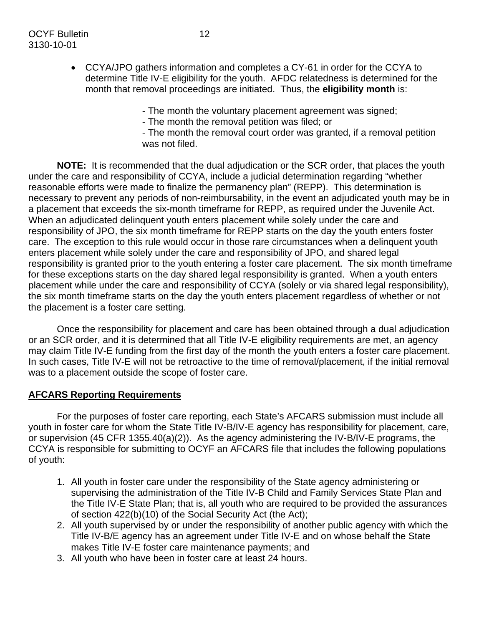- The month the voluntary placement agreement was signed;

- The month the removal petition was filed; or

- The month the removal court order was granted, if a removal petition was not filed.

**NOTE:** It is recommended that the dual adjudication or the SCR order, that places the youth under the care and responsibility of CCYA, include a judicial determination regarding "whether reasonable efforts were made to finalize the permanency plan" (REPP). This determination is necessary to prevent any periods of non-reimbursability, in the event an adjudicated youth may be in a placement that exceeds the six-month timeframe for REPP, as required under the Juvenile Act. When an adjudicated delinquent youth enters placement while solely under the care and responsibility of JPO, the six month timeframe for REPP starts on the day the youth enters foster care. The exception to this rule would occur in those rare circumstances when a delinquent youth enters placement while solely under the care and responsibility of JPO, and shared legal responsibility is granted prior to the youth entering a foster care placement. The six month timeframe for these exceptions starts on the day shared legal responsibility is granted. When a youth enters placement while under the care and responsibility of CCYA (solely or via shared legal responsibility), the six month timeframe starts on the day the youth enters placement regardless of whether or not the placement is a foster care setting.

Once the responsibility for placement and care has been obtained through a dual adjudication or an SCR order, and it is determined that all Title IV-E eligibility requirements are met, an agency may claim Title IV-E funding from the first day of the month the youth enters a foster care placement. In such cases, Title IV-E will not be retroactive to the time of removal/placement, if the initial removal was to a placement outside the scope of foster care.

## **AFCARS Reporting Requirements**

For the purposes of foster care reporting, each State's AFCARS submission must include all youth in foster care for whom the State Title IV-B/IV-E agency has responsibility for placement, care, or supervision (45 CFR 1355.40(a)(2)). As the agency administering the IV-B/IV-E programs, the CCYA is responsible for submitting to OCYF an AFCARS file that includes the following populations of youth:

- 1. All youth in foster care under the responsibility of the State agency administering or supervising the administration of the Title IV-B Child and Family Services State Plan and the Title IV-E State Plan; that is, all youth who are required to be provided the assurances of section 422(b)(10) of the Social Security Act (the Act);
- 2. All youth supervised by or under the responsibility of another public agency with which the Title IV-B/E agency has an agreement under Title IV-E and on whose behalf the State makes Title IV-E foster care maintenance payments; and
- 3. All youth who have been in foster care at least 24 hours.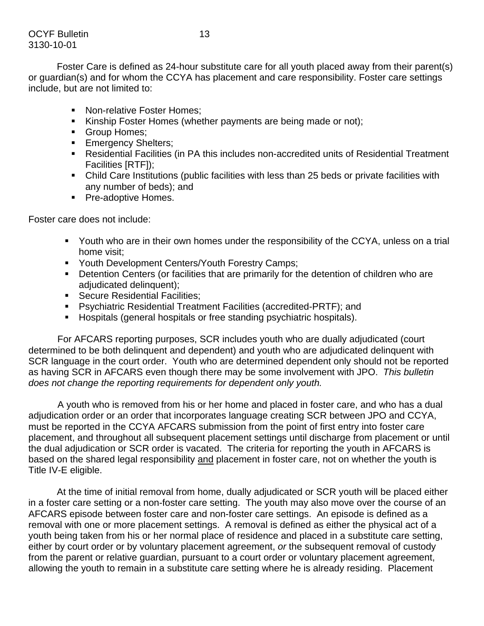Foster Care is defined as 24-hour substitute care for all youth placed away from their parent(s) or guardian(s) and for whom the CCYA has placement and care responsibility. Foster care settings include, but are not limited to:

- Non-relative Foster Homes:
- Kinship Foster Homes (whether payments are being made or not);
- Group Homes;
- **Emergency Shelters;**
- Residential Facilities (in PA this includes non-accredited units of Residential Treatment Facilities [RTF]);
- Child Care Institutions (public facilities with less than 25 beds or private facilities with any number of beds); and
- **Pre-adoptive Homes.**

Foster care does not include:

- Youth who are in their own homes under the responsibility of the CCYA, unless on a trial home visit;
- **Youth Development Centers/Youth Forestry Camps;**
- **•** Detention Centers (or facilities that are primarily for the detention of children who are adjudicated delinquent);
- **Secure Residential Facilities;**
- Psychiatric Residential Treatment Facilities (accredited-PRTF); and
- Hospitals (general hospitals or free standing psychiatric hospitals).

For AFCARS reporting purposes, SCR includes youth who are dually adjudicated (court determined to be both delinquent and dependent) and youth who are adjudicated delinquent with SCR language in the court order. Youth who are determined dependent only should not be reported as having SCR in AFCARS even though there may be some involvement with JPO. *This bulletin does not change the reporting requirements for dependent only youth.* 

A youth who is removed from his or her home and placed in foster care, and who has a dual adjudication order or an order that incorporates language creating SCR between JPO and CCYA, must be reported in the CCYA AFCARS submission from the point of first entry into foster care placement, and throughout all subsequent placement settings until discharge from placement or until the dual adjudication or SCR order is vacated. The criteria for reporting the youth in AFCARS is based on the shared legal responsibility and placement in foster care, not on whether the youth is Title IV-E eligible.

At the time of initial removal from home, dually adjudicated or SCR youth will be placed either in a foster care setting or a non-foster care setting. The youth may also move over the course of an AFCARS episode between foster care and non-foster care settings. An episode is defined as a removal with one or more placement settings. A removal is defined as either the physical act of a youth being taken from his or her normal place of residence and placed in a substitute care setting, either by court order or by voluntary placement agreement, *or* the subsequent removal of custody from the parent or relative guardian, pursuant to a court order or voluntary placement agreement, allowing the youth to remain in a substitute care setting where he is already residing. Placement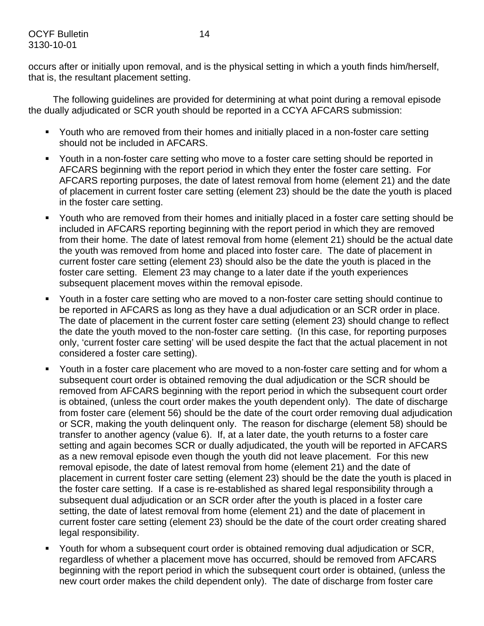occurs after or initially upon removal, and is the physical setting in which a youth finds him/herself, that is, the resultant placement setting.

 The following guidelines are provided for determining at what point during a removal episode the dually adjudicated or SCR youth should be reported in a CCYA AFCARS submission:

- Youth who are removed from their homes and initially placed in a non-foster care setting should not be included in AFCARS.
- Youth in a non-foster care setting who move to a foster care setting should be reported in AFCARS beginning with the report period in which they enter the foster care setting. For AFCARS reporting purposes, the date of latest removal from home (element 21) and the date of placement in current foster care setting (element 23) should be the date the youth is placed in the foster care setting.
- Youth who are removed from their homes and initially placed in a foster care setting should be included in AFCARS reporting beginning with the report period in which they are removed from their home. The date of latest removal from home (element 21) should be the actual date the youth was removed from home and placed into foster care. The date of placement in current foster care setting (element 23) should also be the date the youth is placed in the foster care setting. Element 23 may change to a later date if the youth experiences subsequent placement moves within the removal episode.
- Youth in a foster care setting who are moved to a non-foster care setting should continue to be reported in AFCARS as long as they have a dual adjudication or an SCR order in place. The date of placement in the current foster care setting (element 23) should change to reflect the date the youth moved to the non-foster care setting. (In this case, for reporting purposes only, 'current foster care setting' will be used despite the fact that the actual placement in not considered a foster care setting).
- Youth in a foster care placement who are moved to a non-foster care setting and for whom a subsequent court order is obtained removing the dual adjudication or the SCR should be removed from AFCARS beginning with the report period in which the subsequent court order is obtained, (unless the court order makes the youth dependent only). The date of discharge from foster care (element 56) should be the date of the court order removing dual adjudication or SCR, making the youth delinquent only. The reason for discharge (element 58) should be transfer to another agency (value 6). If, at a later date, the youth returns to a foster care setting and again becomes SCR or dually adjudicated, the youth will be reported in AFCARS as a new removal episode even though the youth did not leave placement. For this new removal episode, the date of latest removal from home (element 21) and the date of placement in current foster care setting (element 23) should be the date the youth is placed in the foster care setting. If a case is re-established as shared legal responsibility through a subsequent dual adjudication or an SCR order after the youth is placed in a foster care setting, the date of latest removal from home (element 21) and the date of placement in current foster care setting (element 23) should be the date of the court order creating shared legal responsibility.
- Youth for whom a subsequent court order is obtained removing dual adjudication or SCR, regardless of whether a placement move has occurred, should be removed from AFCARS beginning with the report period in which the subsequent court order is obtained, (unless the new court order makes the child dependent only). The date of discharge from foster care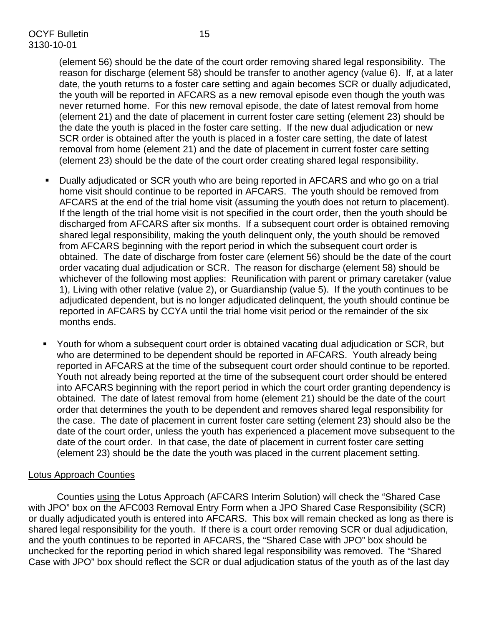(element 56) should be the date of the court order removing shared legal responsibility. The reason for discharge (element 58) should be transfer to another agency (value 6). If, at a later date, the youth returns to a foster care setting and again becomes SCR or dually adjudicated, the youth will be reported in AFCARS as a new removal episode even though the youth was never returned home. For this new removal episode, the date of latest removal from home (element 21) and the date of placement in current foster care setting (element 23) should be the date the youth is placed in the foster care setting. If the new dual adjudication or new SCR order is obtained after the youth is placed in a foster care setting, the date of latest removal from home (element 21) and the date of placement in current foster care setting (element 23) should be the date of the court order creating shared legal responsibility.

- Dually adjudicated or SCR youth who are being reported in AFCARS and who go on a trial home visit should continue to be reported in AFCARS. The youth should be removed from AFCARS at the end of the trial home visit (assuming the youth does not return to placement). If the length of the trial home visit is not specified in the court order, then the youth should be discharged from AFCARS after six months. If a subsequent court order is obtained removing shared legal responsibility, making the youth delinquent only, the youth should be removed from AFCARS beginning with the report period in which the subsequent court order is obtained. The date of discharge from foster care (element 56) should be the date of the court order vacating dual adjudication or SCR. The reason for discharge (element 58) should be whichever of the following most applies: Reunification with parent or primary caretaker (value 1), Living with other relative (value 2), or Guardianship (value 5). If the youth continues to be adjudicated dependent, but is no longer adjudicated delinquent, the youth should continue be reported in AFCARS by CCYA until the trial home visit period or the remainder of the six months ends.
- Youth for whom a subsequent court order is obtained vacating dual adjudication or SCR, but who are determined to be dependent should be reported in AFCARS. Youth already being reported in AFCARS at the time of the subsequent court order should continue to be reported. Youth not already being reported at the time of the subsequent court order should be entered into AFCARS beginning with the report period in which the court order granting dependency is obtained. The date of latest removal from home (element 21) should be the date of the court order that determines the youth to be dependent and removes shared legal responsibility for the case. The date of placement in current foster care setting (element 23) should also be the date of the court order, unless the youth has experienced a placement move subsequent to the date of the court order. In that case, the date of placement in current foster care setting (element 23) should be the date the youth was placed in the current placement setting.

## Lotus Approach Counties

Counties using the Lotus Approach (AFCARS Interim Solution) will check the "Shared Case with JPO" box on the AFC003 Removal Entry Form when a JPO Shared Case Responsibility (SCR) or dually adjudicated youth is entered into AFCARS. This box will remain checked as long as there is shared legal responsibility for the youth. If there is a court order removing SCR or dual adjudication, and the youth continues to be reported in AFCARS, the "Shared Case with JPO" box should be unchecked for the reporting period in which shared legal responsibility was removed. The "Shared Case with JPO" box should reflect the SCR or dual adjudication status of the youth as of the last day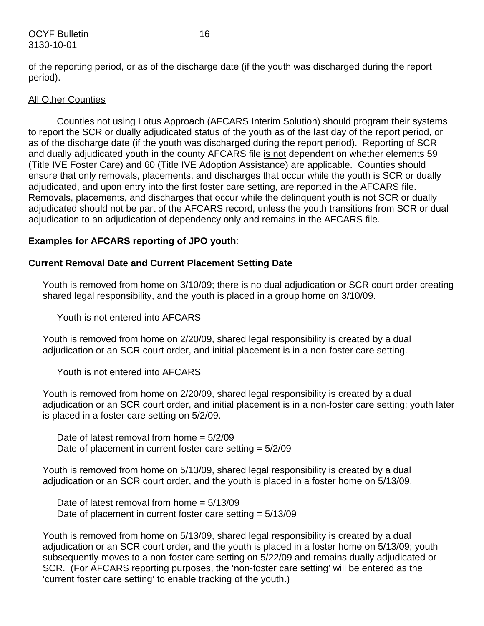#### OCYF Bulletin 16 3130-10-01

of the reporting period, or as of the discharge date (if the youth was discharged during the report period).

#### **All Other Counties**

Counties not using Lotus Approach (AFCARS Interim Solution) should program their systems to report the SCR or dually adjudicated status of the youth as of the last day of the report period, or as of the discharge date (if the youth was discharged during the report period). Reporting of SCR and dually adjudicated youth in the county AFCARS file is not dependent on whether elements 59 (Title IVE Foster Care) and 60 (Title IVE Adoption Assistance) are applicable. Counties should ensure that only removals, placements, and discharges that occur while the youth is SCR or dually adjudicated, and upon entry into the first foster care setting, are reported in the AFCARS file. Removals, placements, and discharges that occur while the delinquent youth is not SCR or dually adjudicated should not be part of the AFCARS record, unless the youth transitions from SCR or dual adjudication to an adjudication of dependency only and remains in the AFCARS file.

## **Examples for AFCARS reporting of JPO youth**:

#### **Current Removal Date and Current Placement Setting Date**

Youth is removed from home on 3/10/09; there is no dual adjudication or SCR court order creating shared legal responsibility, and the youth is placed in a group home on 3/10/09.

Youth is not entered into AFCARS

Youth is removed from home on 2/20/09, shared legal responsibility is created by a dual adjudication or an SCR court order, and initial placement is in a non-foster care setting.

Youth is not entered into AFCARS

Youth is removed from home on 2/20/09, shared legal responsibility is created by a dual adjudication or an SCR court order, and initial placement is in a non-foster care setting; youth later is placed in a foster care setting on 5/2/09.

Date of latest removal from home = 5/2/09 Date of placement in current foster care setting  $= 5/2/09$ 

Youth is removed from home on 5/13/09, shared legal responsibility is created by a dual adjudication or an SCR court order, and the youth is placed in a foster home on 5/13/09.

Date of latest removal from home  $= 5/13/09$ Date of placement in current foster care setting = 5/13/09

Youth is removed from home on 5/13/09, shared legal responsibility is created by a dual adjudication or an SCR court order, and the youth is placed in a foster home on 5/13/09; youth subsequently moves to a non-foster care setting on 5/22/09 and remains dually adjudicated or SCR. (For AFCARS reporting purposes, the 'non-foster care setting' will be entered as the 'current foster care setting' to enable tracking of the youth.)